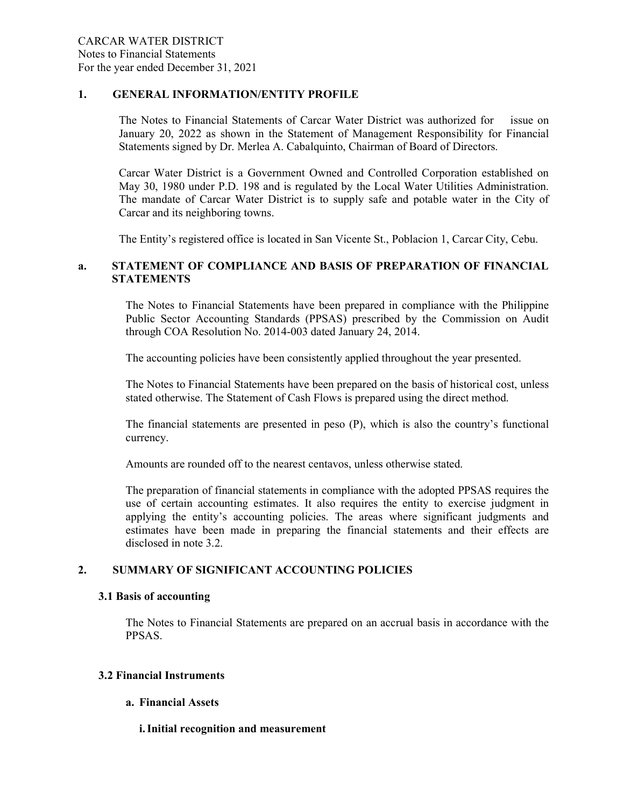#### 1. GENERAL INFORMATION/ENTITY PROFILE

The Notes to Financial Statements of Carcar Water District was authorized for issue on January 20, 2022 as shown in the Statement of Management Responsibility for Financial Statements signed by Dr. Merlea A. Cabalquinto, Chairman of Board of Directors.

Carcar Water District is a Government Owned and Controlled Corporation established on May 30, 1980 under P.D. 198 and is regulated by the Local Water Utilities Administration. The mandate of Carcar Water District is to supply safe and potable water in the City of Carcar and its neighboring towns.

The Entity's registered office is located in San Vicente St., Poblacion 1, Carcar City, Cebu.

## a. STATEMENT OF COMPLIANCE AND BASIS OF PREPARATION OF FINANCIAL **STATEMENTS**

The Notes to Financial Statements have been prepared in compliance with the Philippine Public Sector Accounting Standards (PPSAS) prescribed by the Commission on Audit through COA Resolution No. 2014-003 dated January 24, 2014.

The accounting policies have been consistently applied throughout the year presented.

The Notes to Financial Statements have been prepared on the basis of historical cost, unless stated otherwise. The Statement of Cash Flows is prepared using the direct method.

The financial statements are presented in peso (P), which is also the country's functional currency.

Amounts are rounded off to the nearest centavos, unless otherwise stated.

The preparation of financial statements in compliance with the adopted PPSAS requires the use of certain accounting estimates. It also requires the entity to exercise judgment in applying the entity's accounting policies. The areas where significant judgments and estimates have been made in preparing the financial statements and their effects are disclosed in note 3.2.

## 2. SUMMARY OF SIGNIFICANT ACCOUNTING POLICIES

#### 3.1 Basis of accounting

The Notes to Financial Statements are prepared on an accrual basis in accordance with the PPSAS.

#### 3.2 Financial Instruments

#### a. Financial Assets

i.Initial recognition and measurement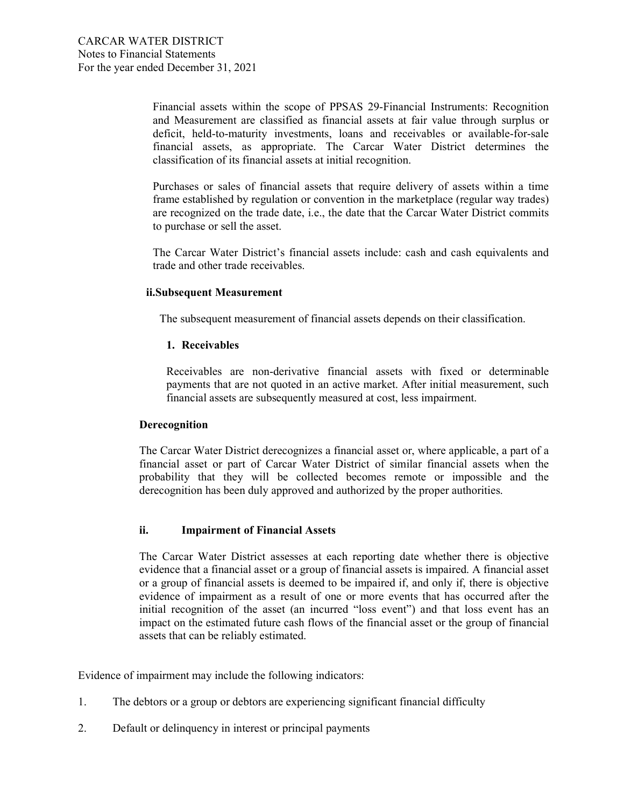Financial assets within the scope of PPSAS 29-Financial Instruments: Recognition and Measurement are classified as financial assets at fair value through surplus or deficit, held-to-maturity investments, loans and receivables or available-for-sale financial assets, as appropriate. The Carcar Water District determines the classification of its financial assets at initial recognition.

Purchases or sales of financial assets that require delivery of assets within a time frame established by regulation or convention in the marketplace (regular way trades) are recognized on the trade date, i.e., the date that the Carcar Water District commits to purchase or sell the asset.

The Carcar Water District's financial assets include: cash and cash equivalents and trade and other trade receivables.

#### ii.Subsequent Measurement

The subsequent measurement of financial assets depends on their classification.

#### 1. Receivables

Receivables are non-derivative financial assets with fixed or determinable payments that are not quoted in an active market. After initial measurement, such financial assets are subsequently measured at cost, less impairment.

#### Derecognition

The Carcar Water District derecognizes a financial asset or, where applicable, a part of a financial asset or part of Carcar Water District of similar financial assets when the probability that they will be collected becomes remote or impossible and the derecognition has been duly approved and authorized by the proper authorities.

#### ii. Impairment of Financial Assets

The Carcar Water District assesses at each reporting date whether there is objective evidence that a financial asset or a group of financial assets is impaired. A financial asset or a group of financial assets is deemed to be impaired if, and only if, there is objective evidence of impairment as a result of one or more events that has occurred after the initial recognition of the asset (an incurred "loss event") and that loss event has an impact on the estimated future cash flows of the financial asset or the group of financial assets that can be reliably estimated.

Evidence of impairment may include the following indicators:

- 1. The debtors or a group or debtors are experiencing significant financial difficulty
- 2. Default or delinquency in interest or principal payments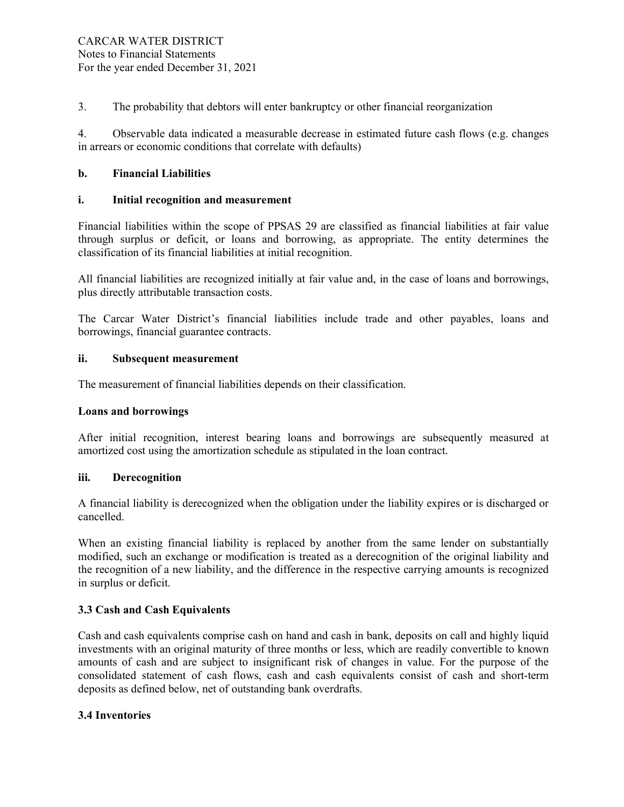3. The probability that debtors will enter bankruptcy or other financial reorganization

4. Observable data indicated a measurable decrease in estimated future cash flows (e.g. changes in arrears or economic conditions that correlate with defaults)

## b. Financial Liabilities

## i. Initial recognition and measurement

Financial liabilities within the scope of PPSAS 29 are classified as financial liabilities at fair value through surplus or deficit, or loans and borrowing, as appropriate. The entity determines the classification of its financial liabilities at initial recognition.

All financial liabilities are recognized initially at fair value and, in the case of loans and borrowings, plus directly attributable transaction costs.

The Carcar Water District's financial liabilities include trade and other payables, loans and borrowings, financial guarantee contracts.

### ii. Subsequent measurement

The measurement of financial liabilities depends on their classification.

#### Loans and borrowings

After initial recognition, interest bearing loans and borrowings are subsequently measured at amortized cost using the amortization schedule as stipulated in the loan contract.

#### iii. Derecognition

A financial liability is derecognized when the obligation under the liability expires or is discharged or cancelled.

When an existing financial liability is replaced by another from the same lender on substantially modified, such an exchange or modification is treated as a derecognition of the original liability and the recognition of a new liability, and the difference in the respective carrying amounts is recognized in surplus or deficit.

## 3.3 Cash and Cash Equivalents

Cash and cash equivalents comprise cash on hand and cash in bank, deposits on call and highly liquid investments with an original maturity of three months or less, which are readily convertible to known amounts of cash and are subject to insignificant risk of changes in value. For the purpose of the consolidated statement of cash flows, cash and cash equivalents consist of cash and short-term deposits as defined below, net of outstanding bank overdrafts.

## 3.4 Inventories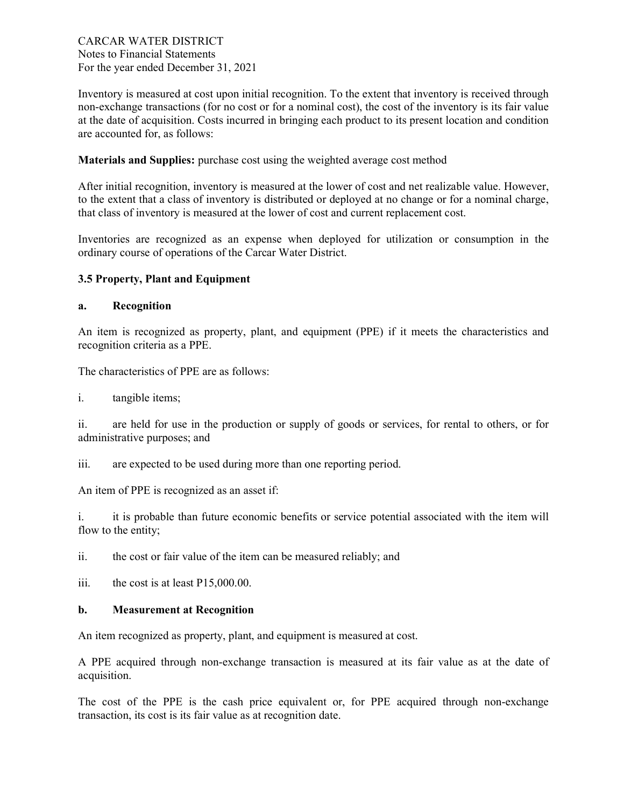Inventory is measured at cost upon initial recognition. To the extent that inventory is received through non-exchange transactions (for no cost or for a nominal cost), the cost of the inventory is its fair value at the date of acquisition. Costs incurred in bringing each product to its present location and condition are accounted for, as follows:

Materials and Supplies: purchase cost using the weighted average cost method

After initial recognition, inventory is measured at the lower of cost and net realizable value. However, to the extent that a class of inventory is distributed or deployed at no change or for a nominal charge, that class of inventory is measured at the lower of cost and current replacement cost.

Inventories are recognized as an expense when deployed for utilization or consumption in the ordinary course of operations of the Carcar Water District.

## 3.5 Property, Plant and Equipment

#### a. Recognition

An item is recognized as property, plant, and equipment (PPE) if it meets the characteristics and recognition criteria as a PPE.

The characteristics of PPE are as follows:

i. tangible items;

ii. are held for use in the production or supply of goods or services, for rental to others, or for administrative purposes; and

iii. are expected to be used during more than one reporting period.

An item of PPE is recognized as an asset if:

i. it is probable than future economic benefits or service potential associated with the item will flow to the entity;

ii. the cost or fair value of the item can be measured reliably; and

iii. the cost is at least P15,000.00.

#### b. Measurement at Recognition

An item recognized as property, plant, and equipment is measured at cost.

A PPE acquired through non-exchange transaction is measured at its fair value as at the date of acquisition.

The cost of the PPE is the cash price equivalent or, for PPE acquired through non-exchange transaction, its cost is its fair value as at recognition date.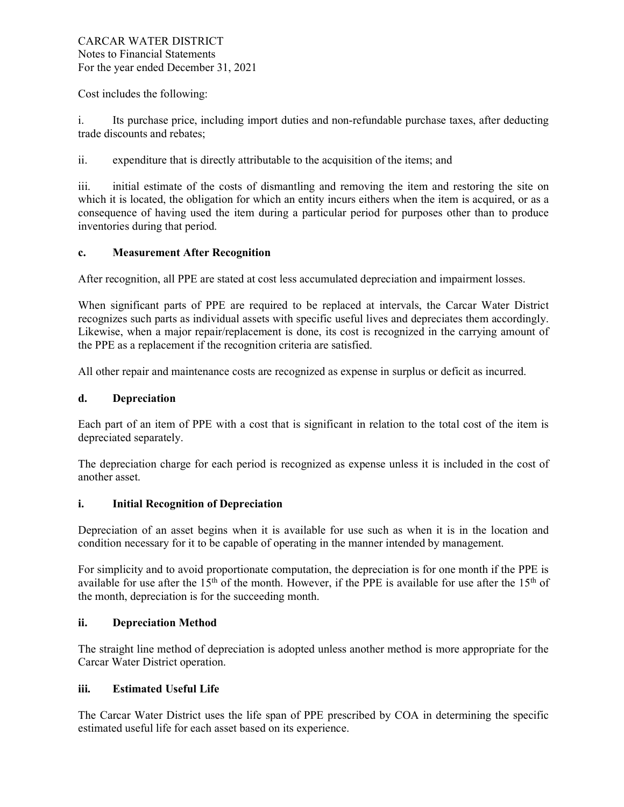Cost includes the following:

i. Its purchase price, including import duties and non-refundable purchase taxes, after deducting trade discounts and rebates;

ii. expenditure that is directly attributable to the acquisition of the items; and

iii. initial estimate of the costs of dismantling and removing the item and restoring the site on which it is located, the obligation for which an entity incurs eithers when the item is acquired, or as a consequence of having used the item during a particular period for purposes other than to produce inventories during that period.

## c. Measurement After Recognition

After recognition, all PPE are stated at cost less accumulated depreciation and impairment losses.

When significant parts of PPE are required to be replaced at intervals, the Carcar Water District recognizes such parts as individual assets with specific useful lives and depreciates them accordingly. Likewise, when a major repair/replacement is done, its cost is recognized in the carrying amount of the PPE as a replacement if the recognition criteria are satisfied.

All other repair and maintenance costs are recognized as expense in surplus or deficit as incurred.

### d. Depreciation

Each part of an item of PPE with a cost that is significant in relation to the total cost of the item is depreciated separately.

The depreciation charge for each period is recognized as expense unless it is included in the cost of another asset.

## i. Initial Recognition of Depreciation

Depreciation of an asset begins when it is available for use such as when it is in the location and condition necessary for it to be capable of operating in the manner intended by management.

For simplicity and to avoid proportionate computation, the depreciation is for one month if the PPE is available for use after the  $15<sup>th</sup>$  of the month. However, if the PPE is available for use after the  $15<sup>th</sup>$  of the month, depreciation is for the succeeding month.

## ii. Depreciation Method

The straight line method of depreciation is adopted unless another method is more appropriate for the Carcar Water District operation.

#### iii. Estimated Useful Life

The Carcar Water District uses the life span of PPE prescribed by COA in determining the specific estimated useful life for each asset based on its experience.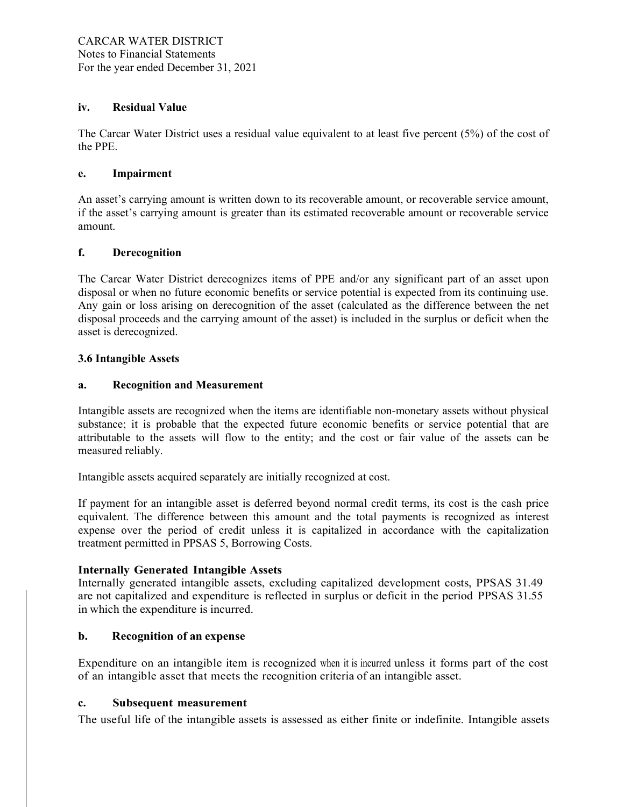#### iv. Residual Value

The Carcar Water District uses a residual value equivalent to at least five percent (5%) of the cost of the PPE.

#### e. Impairment

An asset's carrying amount is written down to its recoverable amount, or recoverable service amount, if the asset's carrying amount is greater than its estimated recoverable amount or recoverable service amount.

### f. Derecognition

The Carcar Water District derecognizes items of PPE and/or any significant part of an asset upon disposal or when no future economic benefits or service potential is expected from its continuing use. Any gain or loss arising on derecognition of the asset (calculated as the difference between the net disposal proceeds and the carrying amount of the asset) is included in the surplus or deficit when the asset is derecognized.

### 3.6 Intangible Assets

### a. Recognition and Measurement

Intangible assets are recognized when the items are identifiable non-monetary assets without physical substance; it is probable that the expected future economic benefits or service potential that are attributable to the assets will flow to the entity; and the cost or fair value of the assets can be measured reliably.

Intangible assets acquired separately are initially recognized at cost.

If payment for an intangible asset is deferred beyond normal credit terms, its cost is the cash price equivalent. The difference between this amount and the total payments is recognized as interest expense over the period of credit unless it is capitalized in accordance with the capitalization treatment permitted in PPSAS 5, Borrowing Costs.

#### Internally Generated Intangible Assets

Internally generated intangible assets, excluding capitalized development costs, PPSAS 31.49 are not capitalized and expenditure is reflected in surplus or deficit in the period PPSAS 31.55 in which the expenditure is incurred.

#### b. Recognition of an expense

Expenditure on an intangible item is recognized when it is incurred unless it forms part of the cost of an intangible asset that meets the recognition criteria of an intangible asset.

#### c. Subsequent measurement

The useful life of the intangible assets is assessed as either finite or indefinite. Intangible assets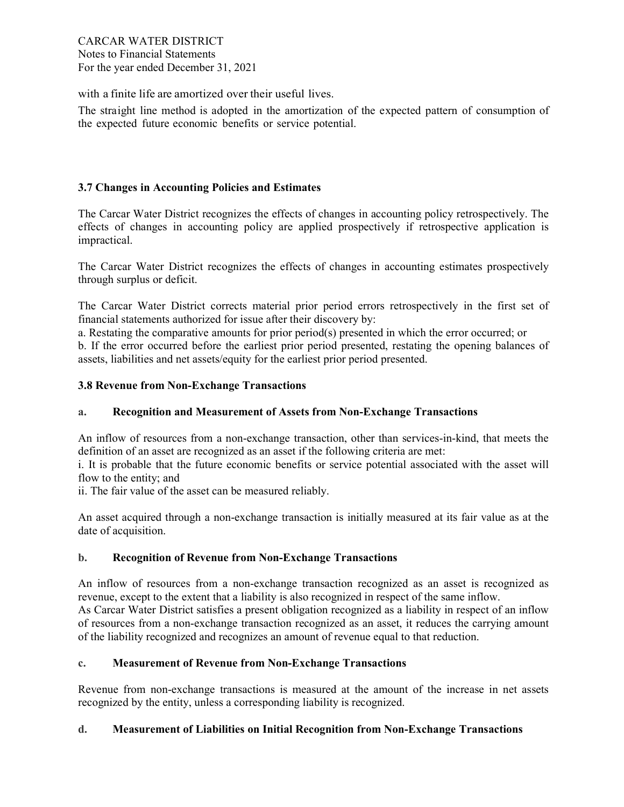CARCAR WATER DISTRICT Notes to Financial Statements For the year ended December 31, 2021

with a finite life are amortized over their useful lives.

The straight line method is adopted in the amortization of the expected pattern of consumption of the expected future economic benefits or service potential.

### 3.7 Changes in Accounting Policies and Estimates

The Carcar Water District recognizes the effects of changes in accounting policy retrospectively. The effects of changes in accounting policy are applied prospectively if retrospective application is impractical.

The Carcar Water District recognizes the effects of changes in accounting estimates prospectively through surplus or deficit.

The Carcar Water District corrects material prior period errors retrospectively in the first set of financial statements authorized for issue after their discovery by:

a. Restating the comparative amounts for prior period(s) presented in which the error occurred; or b. If the error occurred before the earliest prior period presented, restating the opening balances of assets, liabilities and net assets/equity for the earliest prior period presented.

### 3.8 Revenue from Non-Exchange Transactions

#### a. Recognition and Measurement of Assets from Non-Exchange Transactions

An inflow of resources from a non-exchange transaction, other than services-in-kind, that meets the definition of an asset are recognized as an asset if the following criteria are met:

i. It is probable that the future economic benefits or service potential associated with the asset will flow to the entity; and

ii. The fair value of the asset can be measured reliably.

An asset acquired through a non-exchange transaction is initially measured at its fair value as at the date of acquisition.

#### b. Recognition of Revenue from Non-Exchange Transactions

An inflow of resources from a non-exchange transaction recognized as an asset is recognized as revenue, except to the extent that a liability is also recognized in respect of the same inflow.

As Carcar Water District satisfies a present obligation recognized as a liability in respect of an inflow of resources from a non-exchange transaction recognized as an asset, it reduces the carrying amount of the liability recognized and recognizes an amount of revenue equal to that reduction.

#### c. Measurement of Revenue from Non-Exchange Transactions

Revenue from non-exchange transactions is measured at the amount of the increase in net assets recognized by the entity, unless a corresponding liability is recognized.

#### d. Measurement of Liabilities on Initial Recognition from Non-Exchange Transactions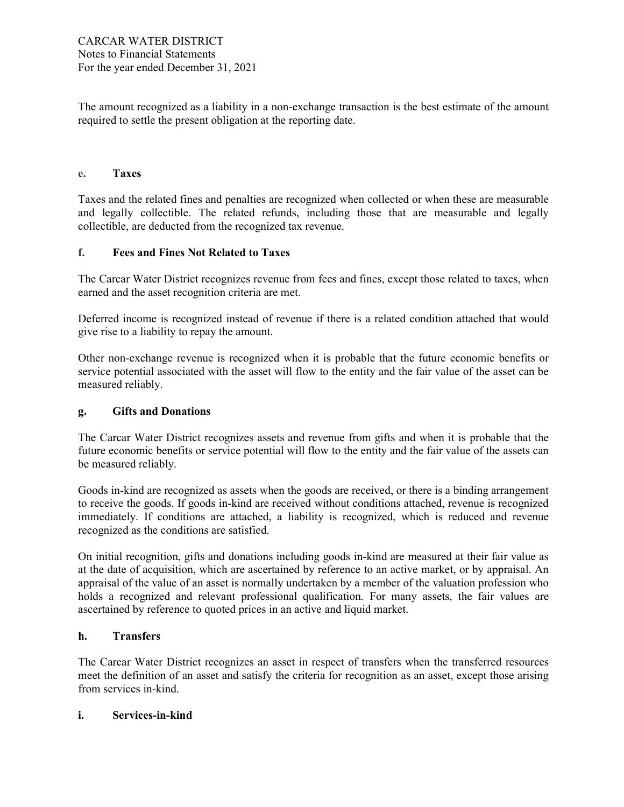The amount recognized as a liability in a non-exchange transaction is the best estimate of the amount required to settle the present obligation at the reporting date.

#### e. Taxes

Taxes and the related fines and penalties are recognized when collected or when these are measurable and legally collectible. The related refunds, including those that are measurable and legally collectible, are deducted from the recognized tax revenue.

### f. Fees and Fines Not Related to Taxes

The Carcar Water District recognizes revenue from fees and fines, except those related to taxes, when earned and the asset recognition criteria are met.

Deferred income is recognized instead of revenue if there is a related condition attached that would give rise to a liability to repay the amount.

Other non-exchange revenue is recognized when it is probable that the future economic benefits or service potential associated with the asset will flow to the entity and the fair value of the asset can be measured reliably.

#### g. Gifts and Donations

The Carcar Water District recognizes assets and revenue from gifts and when it is probable that the future economic benefits or service potential will flow to the entity and the fair value of the assets can be measured reliably.

Goods in-kind are recognized as assets when the goods are received, or there is a binding arrangement to receive the goods. If goods in-kind are received without conditions attached, revenue is recognized immediately. If conditions are attached, a liability is recognized, which is reduced and revenue recognized as the conditions are satisfied.

On initial recognition, gifts and donations including goods in-kind are measured at their fair value as at the date of acquisition, which are ascertained by reference to an active market, or by appraisal. An appraisal of the value of an asset is normally undertaken by a member of the valuation profession who holds a recognized and relevant professional qualification. For many assets, the fair values are ascertained by reference to quoted prices in an active and liquid market.

### h. Transfers

The Carcar Water District recognizes an asset in respect of transfers when the transferred resources meet the definition of an asset and satisfy the criteria for recognition as an asset, except those arising from services in-kind.

#### i. Services-in-kind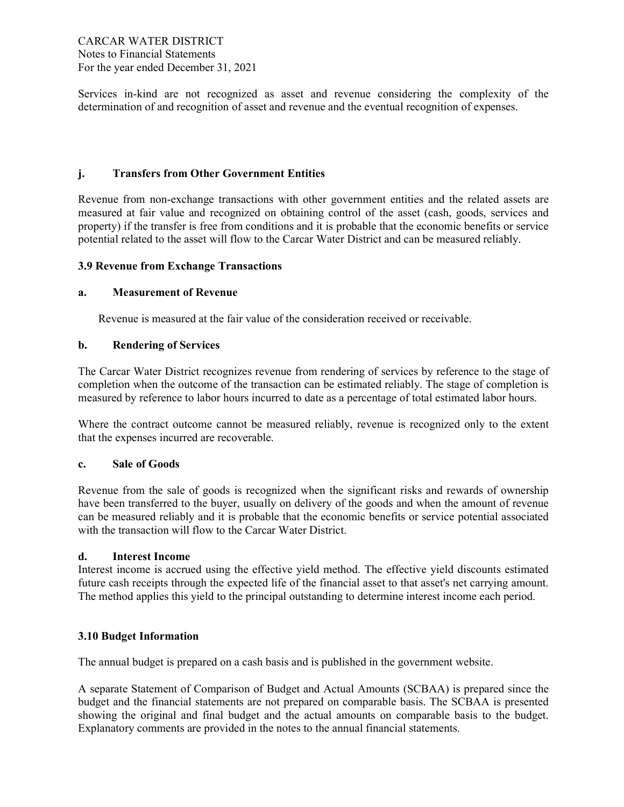Services in-kind are not recognized as asset and revenue considering the complexity of the determination of and recognition of asset and revenue and the eventual recognition of expenses.

## j. Transfers from Other Government Entities

Revenue from non-exchange transactions with other government entities and the related assets are measured at fair value and recognized on obtaining control of the asset (cash, goods, services and property) if the transfer is free from conditions and it is probable that the economic benefits or service potential related to the asset will flow to the Carcar Water District and can be measured reliably.

## 3.9 Revenue from Exchange Transactions

## a. Measurement of Revenue

Revenue is measured at the fair value of the consideration received or receivable.

### b. Rendering of Services

The Carcar Water District recognizes revenue from rendering of services by reference to the stage of completion when the outcome of the transaction can be estimated reliably. The stage of completion is measured by reference to labor hours incurred to date as a percentage of total estimated labor hours.

Where the contract outcome cannot be measured reliably, revenue is recognized only to the extent that the expenses incurred are recoverable.

#### c. Sale of Goods

Revenue from the sale of goods is recognized when the significant risks and rewards of ownership have been transferred to the buyer, usually on delivery of the goods and when the amount of revenue can be measured reliably and it is probable that the economic benefits or service potential associated with the transaction will flow to the Carcar Water District.

#### d. Interest Income

Interest income is accrued using the effective yield method. The effective yield discounts estimated future cash receipts through the expected life of the financial asset to that asset's net carrying amount. The method applies this yield to the principal outstanding to determine interest income each period.

## 3.10 Budget Information

The annual budget is prepared on a cash basis and is published in the government website.

A separate Statement of Comparison of Budget and Actual Amounts (SCBAA) is prepared since the budget and the financial statements are not prepared on comparable basis. The SCBAA is presented showing the original and final budget and the actual amounts on comparable basis to the budget. Explanatory comments are provided in the notes to the annual financial statements.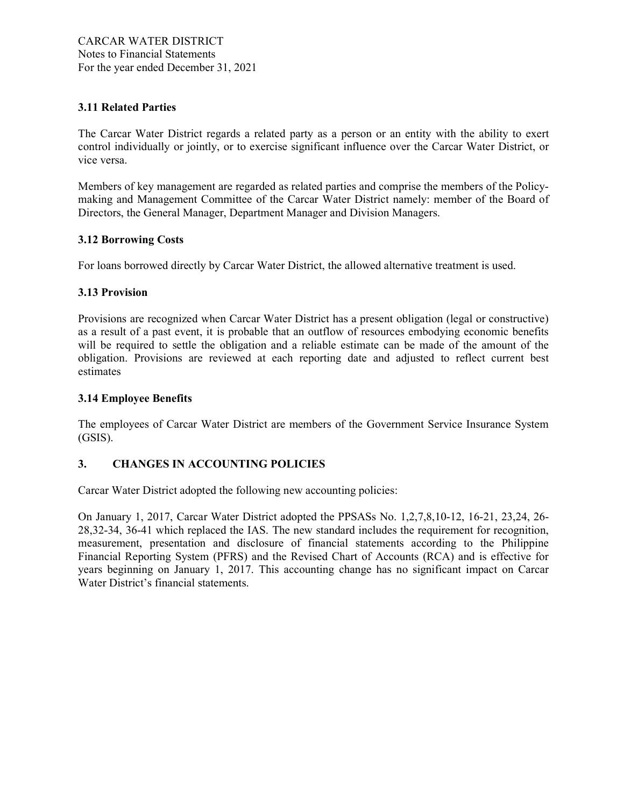## 3.11 Related Parties

The Carcar Water District regards a related party as a person or an entity with the ability to exert control individually or jointly, or to exercise significant influence over the Carcar Water District, or vice versa.

Members of key management are regarded as related parties and comprise the members of the Policymaking and Management Committee of the Carcar Water District namely: member of the Board of Directors, the General Manager, Department Manager and Division Managers.

#### 3.12 Borrowing Costs

For loans borrowed directly by Carcar Water District, the allowed alternative treatment is used.

### 3.13 Provision

Provisions are recognized when Carcar Water District has a present obligation (legal or constructive) as a result of a past event, it is probable that an outflow of resources embodying economic benefits will be required to settle the obligation and a reliable estimate can be made of the amount of the obligation. Provisions are reviewed at each reporting date and adjusted to reflect current best estimates

### 3.14 Employee Benefits

The employees of Carcar Water District are members of the Government Service Insurance System (GSIS).

## 3. CHANGES IN ACCOUNTING POLICIES

Carcar Water District adopted the following new accounting policies:

On January 1, 2017, Carcar Water District adopted the PPSASs No. 1,2,7,8,10-12, 16-21, 23,24, 26- 28,32-34, 36-41 which replaced the IAS. The new standard includes the requirement for recognition, measurement, presentation and disclosure of financial statements according to the Philippine Financial Reporting System (PFRS) and the Revised Chart of Accounts (RCA) and is effective for years beginning on January 1, 2017. This accounting change has no significant impact on Carcar Water District's financial statements.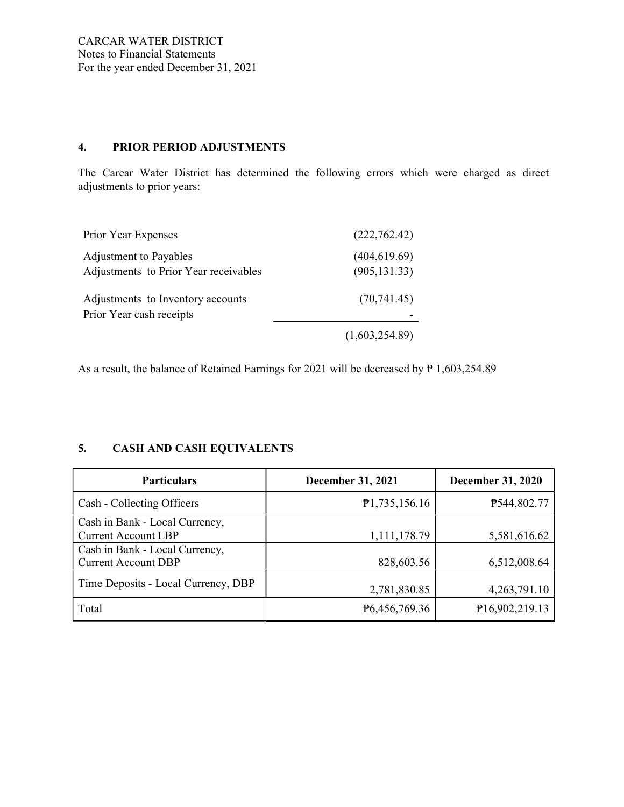## 4. PRIOR PERIOD ADJUSTMENTS

The Carcar Water District has determined the following errors which were charged as direct adjustments to prior years:

| Prior Year Expenses                                             | (222,762.42)                   |
|-----------------------------------------------------------------|--------------------------------|
| Adjustment to Payables<br>Adjustments to Prior Year receivables | (404, 619.69)<br>(905, 131.33) |
| Adjustments to Inventory accounts<br>Prior Year cash receipts   | (70, 741.45)                   |
|                                                                 | (1,603,254.89)                 |

As a result, the balance of Retained Earnings for 2021 will be decreased by  $\overline{P}$  1,603,254.89

## 5. CASH AND CASH EQUIVALENTS

| <b>Particulars</b>                                           | <b>December 31, 2021</b> | <b>December 31, 2020</b> |
|--------------------------------------------------------------|--------------------------|--------------------------|
| Cash - Collecting Officers                                   | P1,735,156.16            | P544,802.77              |
| Cash in Bank - Local Currency,<br><b>Current Account LBP</b> | 1,111,178.79             | 5,581,616.62             |
| Cash in Bank - Local Currency,<br><b>Current Account DBP</b> | 828,603.56               | 6,512,008.64             |
| Time Deposits - Local Currency, DBP                          | 2,781,830.85             | 4, 263, 791. 10          |
| Total                                                        | P6,456,769.36            | P16,902,219.13           |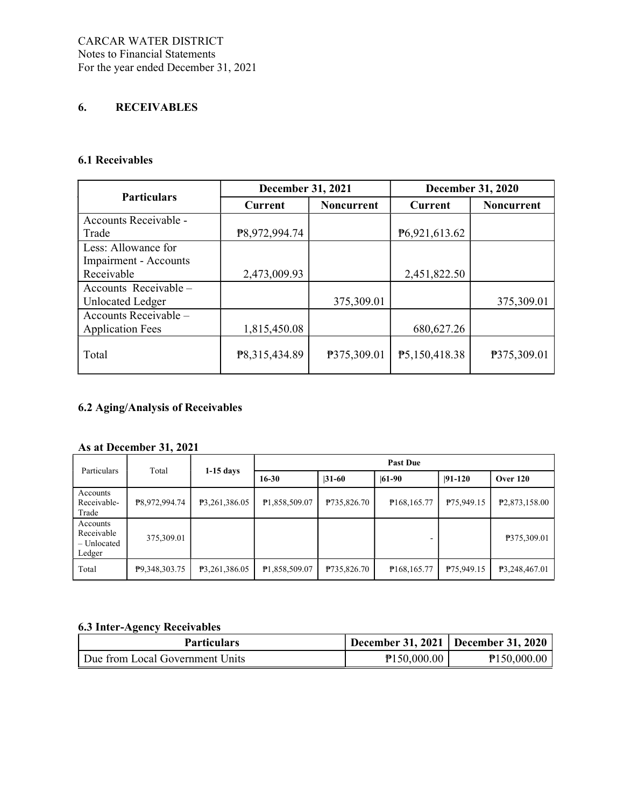## 6. RECEIVABLES

#### 6.1 Receivables

| <b>Particulars</b>           | <b>December 31, 2021</b>     |             | <b>December 31, 2020</b> |                   |  |
|------------------------------|------------------------------|-------------|--------------------------|-------------------|--|
|                              | <b>Noncurrent</b><br>Current |             | <b>Current</b>           | <b>Noncurrent</b> |  |
| Accounts Receivable -        |                              |             |                          |                   |  |
| Trade                        | P8,972,994.74                |             | P6,921,613.62            |                   |  |
| Less: Allowance for          |                              |             |                          |                   |  |
| <b>Impairment - Accounts</b> |                              |             |                          |                   |  |
| Receivable                   | 2,473,009.93                 |             | 2,451,822.50             |                   |  |
| Accounts Receivable -        |                              |             |                          |                   |  |
| <b>Unlocated Ledger</b>      |                              | 375,309.01  |                          | 375,309.01        |  |
| Accounts Receivable -        |                              |             |                          |                   |  |
| <b>Application Fees</b>      | 1,815,450.08                 |             | 680, 627. 26             |                   |  |
| Total                        | P8,315,434.89                | P375,309.01 | P5,150,418.38            | P375,309.01       |  |

## 6.2 Aging/Analysis of Receivables

## As at December 31, 2021

| Particulars                                     | Total         | $1-15$ days   | <b>Past Due</b>        |             |                           |            |                            |
|-------------------------------------------------|---------------|---------------|------------------------|-------------|---------------------------|------------|----------------------------|
|                                                 |               |               | $16 - 30$<br>$ 31-60 $ |             | $ 61-90 $                 | $ 91-120 $ | <b>Over 120</b>            |
| Accounts<br>Receivable-<br>Trade                | P8,972,994.74 | P3,261,386.05 | P1,858,509.07          | P735,826.70 | P <sub>168</sub> , 165.77 | P75,949.15 | P <sub>2</sub> ,873,158.00 |
| Accounts<br>Receivable<br>– Unlocated<br>Ledger | 375,309.01    |               |                        |             |                           |            | P375,309.01                |
| Total                                           | P9,348,303.75 | P3,261,386.05 | P1,858,509.07          | P735,826.70 | P <sub>168</sub> , 165.77 | P75,949.15 | P3,248,467.01              |

## 6.3 Inter-Agency Receivables

| <b>Particulars</b>              | December 31, 2021   December 31, 2020 |             |
|---------------------------------|---------------------------------------|-------------|
| Due from Local Government Units | P150,000.00                           | P150,000.00 |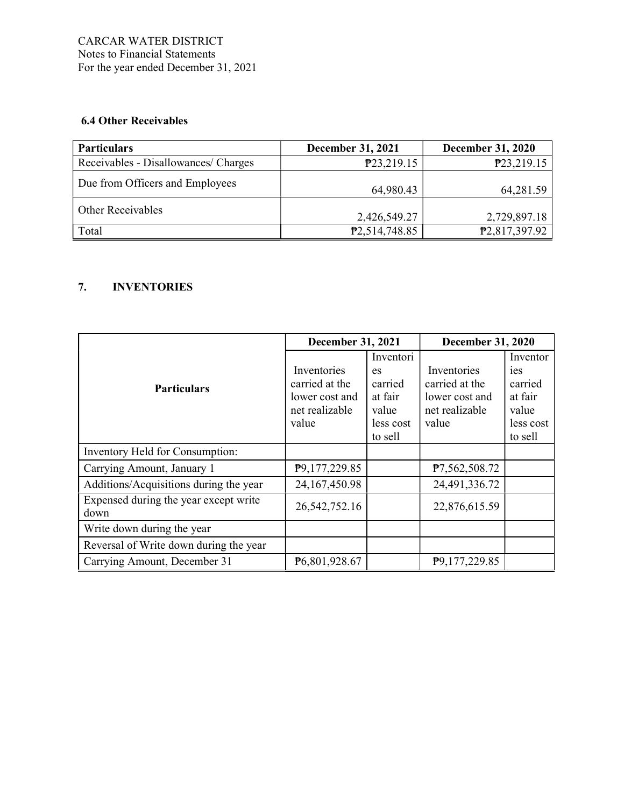## 6.4 Other Receivables

| <b>Particulars</b>                   | <b>December 31, 2021</b>     | <b>December 31, 2020</b>   |
|--------------------------------------|------------------------------|----------------------------|
| Receivables - Disallowances/ Charges | P23,219.15                   | P23,219.15                 |
| Due from Officers and Employees      | 64,980.43                    | 64,281.59                  |
| <b>Other Receivables</b>             | 2,426,549.27                 | 2,729,897.18               |
| Total                                | P <sub>2</sub> , 514, 748.85 | P <sub>2</sub> ,817,397.92 |

## 7. INVENTORIES

|                                               | <b>December 31, 2021</b>                                                   |                                                                        | December 31, 2020                                                          |                                                                                   |
|-----------------------------------------------|----------------------------------------------------------------------------|------------------------------------------------------------------------|----------------------------------------------------------------------------|-----------------------------------------------------------------------------------|
| <b>Particulars</b>                            | Inventories<br>carried at the<br>lower cost and<br>net realizable<br>value | Inventori<br>es<br>carried<br>at fair<br>value<br>less cost<br>to sell | Inventories<br>carried at the<br>lower cost and<br>net realizable<br>value | Inventor<br><sub>1es</sub><br>carried<br>at fair<br>value<br>less cost<br>to sell |
| Inventory Held for Consumption:               |                                                                            |                                                                        |                                                                            |                                                                                   |
| Carrying Amount, January 1                    | P9,177,229.85                                                              |                                                                        | P7,562,508.72                                                              |                                                                                   |
| Additions/Acquisitions during the year        | 24, 167, 450.98                                                            |                                                                        | 24,491,336.72                                                              |                                                                                   |
| Expensed during the year except write<br>down | 26, 542, 752. 16                                                           |                                                                        | 22,876,615.59                                                              |                                                                                   |
| Write down during the year                    |                                                                            |                                                                        |                                                                            |                                                                                   |
| Reversal of Write down during the year        |                                                                            |                                                                        |                                                                            |                                                                                   |
| Carrying Amount, December 31                  | P6,801,928.67                                                              |                                                                        | P9,177,229.85                                                              |                                                                                   |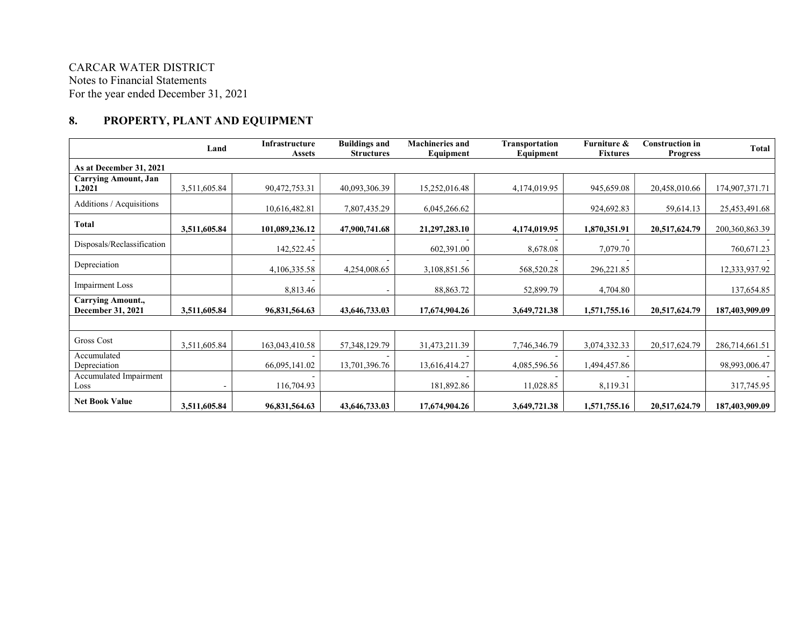## CARCAR WATER DISTRICT Notes to Financial Statements For the year ended December 31, 2021

## 8. PROPERTY, PLANT AND EQUIPMENT

|                                               | Land         | Infrastructure<br><b>Assets</b> | <b>Buildings and</b><br><b>Structures</b> | <b>Machineries and</b><br>Equipment | <b>Transportation</b><br>Equipment | Furniture &<br><b>Fixtures</b> | <b>Construction in</b><br><b>Progress</b> | Total             |
|-----------------------------------------------|--------------|---------------------------------|-------------------------------------------|-------------------------------------|------------------------------------|--------------------------------|-------------------------------------------|-------------------|
| As at December 31, 2021                       |              |                                 |                                           |                                     |                                    |                                |                                           |                   |
| <b>Carrying Amount, Jan</b><br>1,2021         | 3,511,605.84 | 90,472,753.31                   | 40,093,306.39                             | 15,252,016.48                       | 4,174,019.95                       | 945,659.08                     | 20,458,010.66                             | 174,907,371.71    |
| Additions / Acquisitions                      |              | 10,616,482.81                   | 7,807,435.29                              | 6,045,266.62                        |                                    | 924,692.83                     | 59,614.13                                 | 25,453,491.68     |
| Total                                         | 3,511,605.84 | 101,089,236.12                  | 47,900,741.68                             | 21,297,283.10                       | 4,174,019.95                       | 1,870,351.91                   | 20,517,624.79                             | 200, 360, 863. 39 |
| Disposals/Reclassification                    |              | 142,522.45                      |                                           | 602,391.00                          | 8,678.08                           | 7,079.70                       |                                           | 760,671.23        |
| Depreciation                                  |              | 4,106,335.58                    | 4,254,008.65                              | 3,108,851.56                        | 568,520.28                         | 296,221.85                     |                                           | 12,333,937.92     |
| <b>Impairment Loss</b>                        |              | 8,813.46                        |                                           | 88,863.72                           | 52,899.79                          | 4,704.80                       |                                           | 137,654.85        |
| <b>Carrying Amount.,</b><br>December 31, 2021 | 3,511,605.84 | 96,831,564.63                   | 43,646,733.03                             | 17,674,904.26                       | 3,649,721.38                       | 1,571,755.16                   | 20,517,624.79                             | 187,403,909.09    |
|                                               |              |                                 |                                           |                                     |                                    |                                |                                           |                   |
| Gross Cost                                    | 3,511,605.84 | 163,043,410.58                  | 57, 348, 129. 79                          | 31,473,211.39                       | 7,746,346.79                       | 3,074,332.33                   | 20,517,624.79                             | 286,714,661.51    |
| Accumulated<br>Depreciation                   |              | 66,095,141.02                   | 13,701,396.76                             | 13,616,414.27                       | 4,085,596.56                       | 1,494,457.86                   |                                           | 98,993,006.47     |
| Accumulated Impairment<br>Loss                |              | 116,704.93                      |                                           | 181,892.86                          | 11,028.85                          | 8,119.31                       |                                           | 317,745.95        |
| <b>Net Book Value</b>                         | 3,511,605.84 | 96,831,564.63                   | 43,646,733.03                             | 17,674,904.26                       | 3,649,721.38                       | 1,571,755.16                   | 20,517,624.79                             | 187,403,909.09    |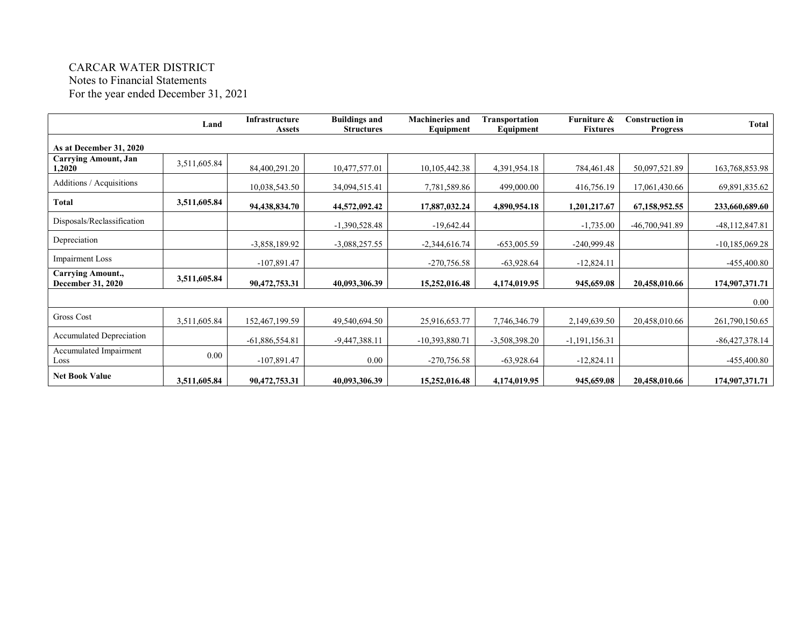# CARCAR WATER DISTRICT

Notes to Financial Statements

For the year ended December 31, 2021

|                                        | Land         | Infrastructure<br><b>Assets</b> | <b>Buildings and</b><br><b>Structures</b> | <b>Machineries and</b><br>Equipment | Transportation<br>Equipment | Furniture &<br><b>Fixtures</b> | <b>Construction in</b><br><b>Progress</b> | <b>Total</b>     |
|----------------------------------------|--------------|---------------------------------|-------------------------------------------|-------------------------------------|-----------------------------|--------------------------------|-------------------------------------------|------------------|
| As at December 31, 2020                |              |                                 |                                           |                                     |                             |                                |                                           |                  |
| <b>Carrying Amount, Jan</b><br>1,2020  | 3,511,605.84 | 84,400,291.20                   | 10,477,577.01                             | 10,105,442.38                       | 4,391,954.18                | 784,461.48                     | 50,097,521.89                             | 163,768,853.98   |
| Additions / Acquisitions               |              | 10,038,543.50                   | 34,094,515.41                             | 7,781,589.86                        | 499,000.00                  | 416,756.19                     | 17,061,430.66                             | 69,891,835.62    |
| Total                                  | 3,511,605.84 | 94,438,834.70                   | 44,572,092.42                             | 17,887,032.24                       | 4,890,954.18                | 1,201,217.67                   | 67,158,952.55                             | 233,660,689.60   |
| Disposals/Reclassification             |              |                                 | $-1,390,528.48$                           | $-19,642.44$                        |                             | $-1,735.00$                    | $-46,700,941.89$                          | $-48,112,847.81$ |
| Depreciation                           |              | $-3,858,189.92$                 | $-3,088,257.55$                           | $-2,344,616.74$                     | $-653,005.59$               | $-240,999.48$                  |                                           | $-10,185,069.28$ |
| <b>Impairment Loss</b>                 |              | $-107,891.47$                   |                                           | $-270,756.58$                       | $-63,928.64$                | $-12,824.11$                   |                                           | $-455,400.80$    |
| Carrying Amount.,<br>December 31, 2020 | 3,511,605.84 | 90,472,753.31                   | 40,093,306.39                             | 15,252,016.48                       | 4,174,019.95                | 945,659.08                     | 20,458,010.66                             | 174,907,371.71   |
|                                        |              |                                 |                                           |                                     |                             |                                |                                           | 0.00             |
| Gross Cost                             | 3,511,605.84 | 152,467,199.59                  | 49,540,694.50                             | 25,916,653.77                       | 7,746,346.79                | 2,149,639.50                   | 20,458,010.66                             | 261,790,150.65   |
| <b>Accumulated Depreciation</b>        |              | $-61,886,554.81$                | $-9,447,388.11$                           | $-10,393,880.71$                    | $-3,508,398.20$             | $-1,191,156.31$                |                                           | $-86,427,378.14$ |
| Accumulated Impairment<br>Loss         | 0.00         | $-107,891.47$                   | 0.00                                      | $-270,756.58$                       | $-63,928.64$                | $-12,824.11$                   |                                           | $-455,400.80$    |
| <b>Net Book Value</b>                  | 3,511,605.84 | 90,472,753.31                   | 40,093,306.39                             | 15,252,016.48                       | 4,174,019.95                | 945,659.08                     | 20,458,010.66                             | 174,907,371.71   |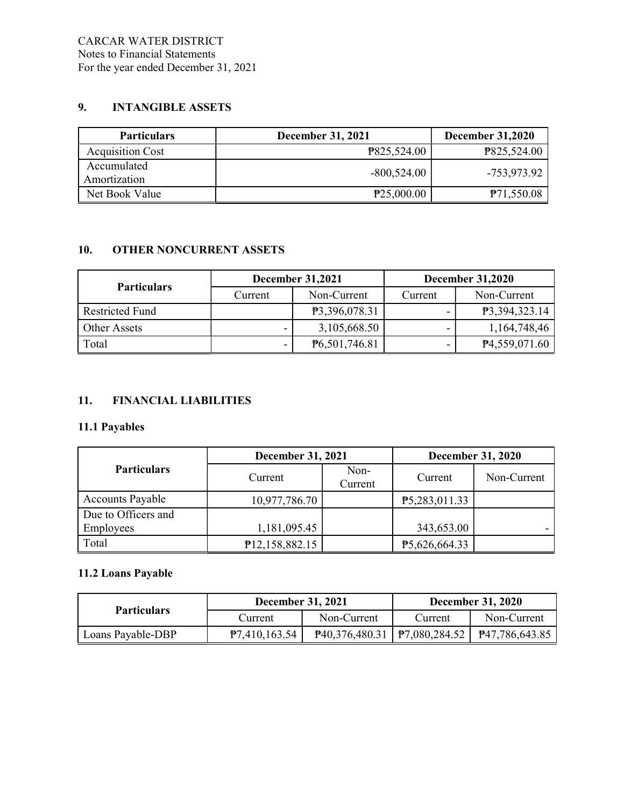## 9. INTANGIBLE ASSETS

| <b>Particulars</b>          | December 31, 2021 | <b>December 31,2020</b> |
|-----------------------------|-------------------|-------------------------|
| <b>Acquisition Cost</b>     | P825,524.00       | P825,524.00             |
| Accumulated<br>Amortization | $-800,524.00$     | -753,973.92             |
| Net Book Value              | P25,000.00        | P71,550.08              |

## 10. OTHER NONCURRENT ASSETS

|                        |         | <b>December 31,2021</b> | <b>December 31,2020</b>  |                            |  |
|------------------------|---------|-------------------------|--------------------------|----------------------------|--|
| <b>Particulars</b>     | Current | Non-Current             | Current                  | Non-Current                |  |
| <b>Restricted Fund</b> |         | P3,396,078.31           | -                        | P3,394,323.14              |  |
| Other Assets           |         | 3,105,668.50            | $\overline{\phantom{0}}$ | 1,164,748,46               |  |
| Total                  |         | P6,501,746.81           |                          | P <sub>4</sub> ,559,071.60 |  |

## 11. FINANCIAL LIABILITIES

## 11.1 Payables

|                         | <b>December 31, 2021</b> |                 | <b>December 31, 2020</b> |             |  |
|-------------------------|--------------------------|-----------------|--------------------------|-------------|--|
| <b>Particulars</b>      | Current                  | Non-<br>Current | Current                  | Non-Current |  |
| <b>Accounts Payable</b> | 10,977,786.70            |                 | P5,283,011.33            |             |  |
| Due to Officers and     |                          |                 |                          |             |  |
| Employees               | 1,181,095.45             |                 | 343,653.00               |             |  |
| Total                   | P12,158,882.15           |                 | P5,626,664.33            |             |  |

## 11.2 Loans Payable

| <b>Particulars</b> | <b>December 31, 2021</b> |                                    | <b>December 31, 2020</b> |                |
|--------------------|--------------------------|------------------------------------|--------------------------|----------------|
|                    | Current                  | Non-Current                        | Current                  | Non-Current    |
| Loans Payable-DBP  | P7,410,163.54            | $P40,376,480.31$   $P7,080,284.52$ |                          | P47,786,643.85 |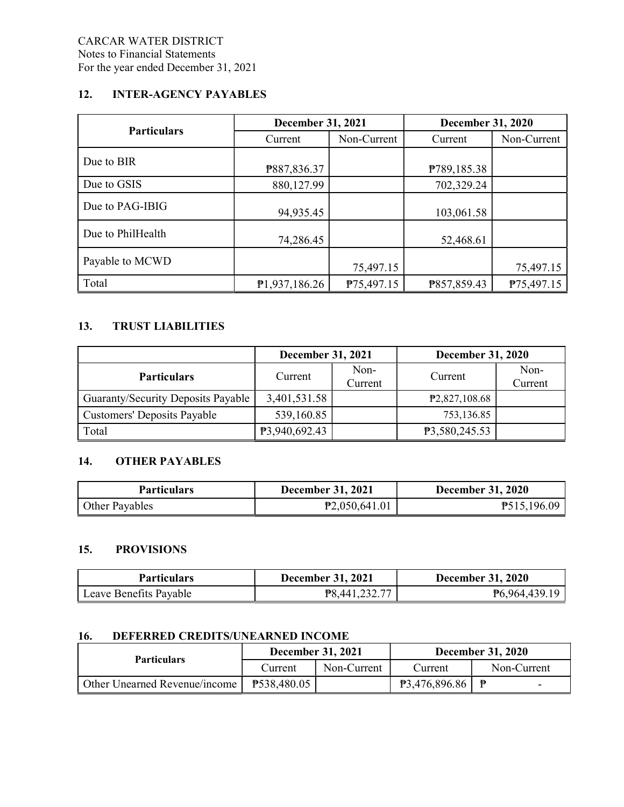## 12. INTER-AGENCY PAYABLES

| <b>Particulars</b> | <b>December 31, 2021</b> |             | <b>December 31, 2020</b> |             |
|--------------------|--------------------------|-------------|--------------------------|-------------|
|                    | Current                  | Non-Current | Current                  | Non-Current |
| Due to BIR         | P887,836.37              |             | P789,185.38              |             |
| Due to GSIS        | 880,127.99               |             | 702,329.24               |             |
| Due to PAG-IBIG    | 94,935.45                |             | 103,061.58               |             |
| Due to PhilHealth  | 74,286.45                |             | 52,468.61                |             |
| Payable to MCWD    |                          | 75,497.15   |                          | 75,497.15   |
| Total              | P1,937,186.26            | P75,497.15  | P857,859.43              | P75,497.15  |

## 13. TRUST LIABILITIES

|                                    | <b>December 31, 2021</b> |                 | <b>December 31, 2020</b> |                 |
|------------------------------------|--------------------------|-----------------|--------------------------|-----------------|
| <b>Particulars</b>                 | Current                  | Non-<br>Current | Current                  | Non-<br>Current |
| Guaranty/Security Deposits Payable | 3,401,531.58             |                 | P2,827,108.68            |                 |
| Customers' Deposits Payable        | 539,160.85               |                 | 753,136.85               |                 |
| Total                              | P3,940,692.43            |                 | P3,580,245.53            |                 |

## 14. OTHER PAYABLES

| <b>Particulars</b> | <b>December 31, 2021</b> | <b>December 31, 2020</b> |
|--------------------|--------------------------|--------------------------|
| Other Payables     | P2,050,641.01            | P515,196.09              |

## 15. PROVISIONS

| <b>Particulars</b>     | <b>December 31, 2021</b> | <b>December 31, 2020</b> |
|------------------------|--------------------------|--------------------------|
| Leave Benefits Payable | P8,441,232.77            | P6,964,439.19            |

## 16. DEFERRED CREDITS/UNEARNED INCOME

| <b>Particulars</b>            |             | <b>December 31, 2021</b> |                | <b>December 31, 2020</b> |
|-------------------------------|-------------|--------------------------|----------------|--------------------------|
|                               | Current     | Non-Current              | <b>Current</b> | Non-Current              |
| Other Unearned Revenue/income | P538,480.05 |                          | P3,476,896.86  | ₿                        |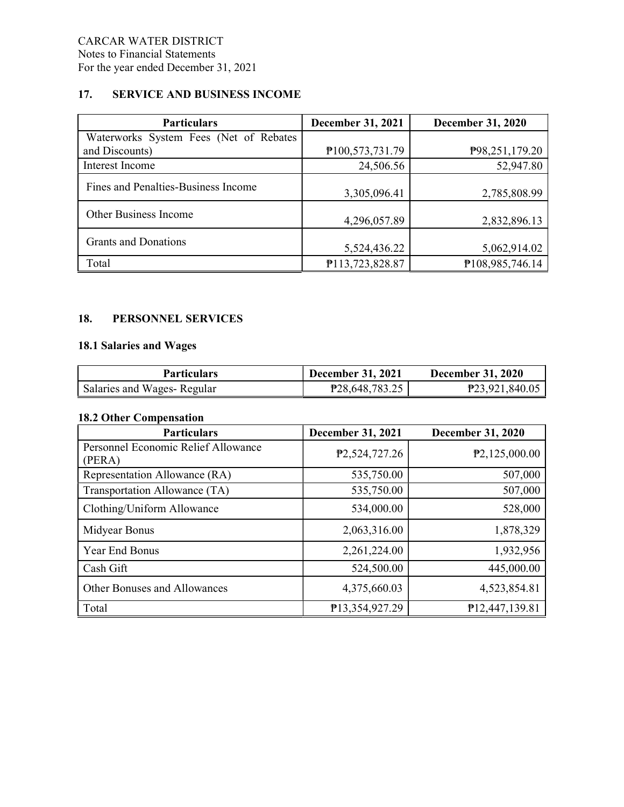## 17. SERVICE AND BUSINESS INCOME

| <b>Particulars</b>                     | <b>December 31, 2021</b> | <b>December 31, 2020</b> |
|----------------------------------------|--------------------------|--------------------------|
| Waterworks System Fees (Net of Rebates |                          |                          |
| and Discounts)                         | P100,573,731.79          | P98,251,179.20           |
| Interest Income                        | 24,506.56                | 52,947.80                |
| Fines and Penalties-Business Income    | 3,305,096.41             | 2,785,808.99             |
| Other Business Income                  | 4,296,057.89             | 2,832,896.13             |
| <b>Grants and Donations</b>            | 5,524,436.22             | 5,062,914.02             |
| Total                                  | P113,723,828.87          | P108,985,746.14          |

## 18. PERSONNEL SERVICES

## 18.1 Salaries and Wages

| <b>Particulars</b>         | <b>December 31, 2021</b> | <b>December 31, 2020</b> |
|----------------------------|--------------------------|--------------------------|
| Salaries and Wages-Regular | P28,648,783.25           | P23,921,840.05           |

## 18.2 Other Compensation

| <b>Particulars</b>                            | <b>December 31, 2021</b>     | <b>December 31, 2020</b> |
|-----------------------------------------------|------------------------------|--------------------------|
| Personnel Economic Relief Allowance<br>(PERA) | P <sub>2</sub> , 524, 727.26 | P2,125,000.00            |
| Representation Allowance (RA)                 | 535,750.00                   | 507,000                  |
| Transportation Allowance (TA)                 | 535,750.00                   | 507,000                  |
| Clothing/Uniform Allowance                    | 534,000.00                   | 528,000                  |
| Midyear Bonus                                 | 2,063,316.00                 | 1,878,329                |
| Year End Bonus                                | 2,261,224.00                 | 1,932,956                |
| Cash Gift                                     | 524,500.00                   | 445,000.00               |
| Other Bonuses and Allowances                  | 4,375,660.03                 | 4,523,854.81             |
| Total                                         | P13,354,927.29               | P12,447,139.81           |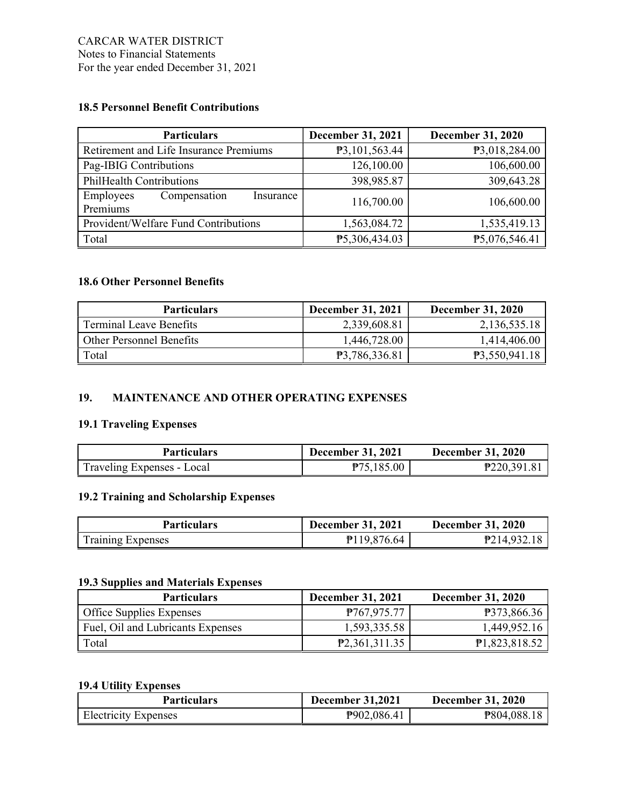## 18.5 Personnel Benefit Contributions

| <b>Particulars</b>                                 | <b>December 31, 2021</b> | <b>December 31, 2020</b> |
|----------------------------------------------------|--------------------------|--------------------------|
| Retirement and Life Insurance Premiums             | P3,101,563.44            | P3,018,284.00            |
| Pag-IBIG Contributions                             | 126,100.00               | 106,600.00               |
| PhilHealth Contributions                           | 398,985.87               | 309,643.28               |
| Employees<br>Compensation<br>Insurance<br>Premiums | 116,700.00               | 106,600.00               |
| Provident/Welfare Fund Contributions               | 1,563,084.72             | 1,535,419.13             |
| Total                                              | P5,306,434.03            | P5,076,546.41            |

## 18.6 Other Personnel Benefits

| <b>Particulars</b>       | <b>December 31, 2021</b> | <b>December 31, 2020</b> |
|--------------------------|--------------------------|--------------------------|
| Terminal Leave Benefits  | 2,339,608.81             | 2,136,535.18             |
| Other Personnel Benefits | 1,446,728.00             | 1,414,406.00             |
| Total                    | <b>P3.786.336.81</b>     | P3,550,941.18            |

## 19. MAINTENANCE AND OTHER OPERATING EXPENSES

## 19.1 Traveling Expenses

| <b>Particulars</b>         | <b>December 31, 2021</b> | <b>December 31, 2020</b> |
|----------------------------|--------------------------|--------------------------|
| Traveling Expenses - Local | P75,185.00               | P220,391.81              |

## 19.2 Training and Scholarship Expenses

| <b>Particulars</b> | <b>December 31, 2021</b> | <b>December 31, 2020</b> |
|--------------------|--------------------------|--------------------------|
| Training Expenses  | P119,876.64              | P214.932.18              |

### 19.3 Supplies and Materials Expenses

| <b>Particulars</b>                | <b>December 31, 2021</b> | <b>December 31, 2020</b> |
|-----------------------------------|--------------------------|--------------------------|
| <b>Office Supplies Expenses</b>   | P767,975.77              | <b>P373,866.36</b>       |
| Fuel, Oil and Lubricants Expenses | 1,593,335.58             | 1,449,952.16             |
| Total                             | P2,361,311.35            | P1,823,818.52            |

## 19.4 Utility Expenses

| <b>Particulars</b>          | <b>December 31,2021</b> | <b>December 31, 2020</b> |
|-----------------------------|-------------------------|--------------------------|
| <b>Electricity Expenses</b> | P902,086.41             | P804,088.18              |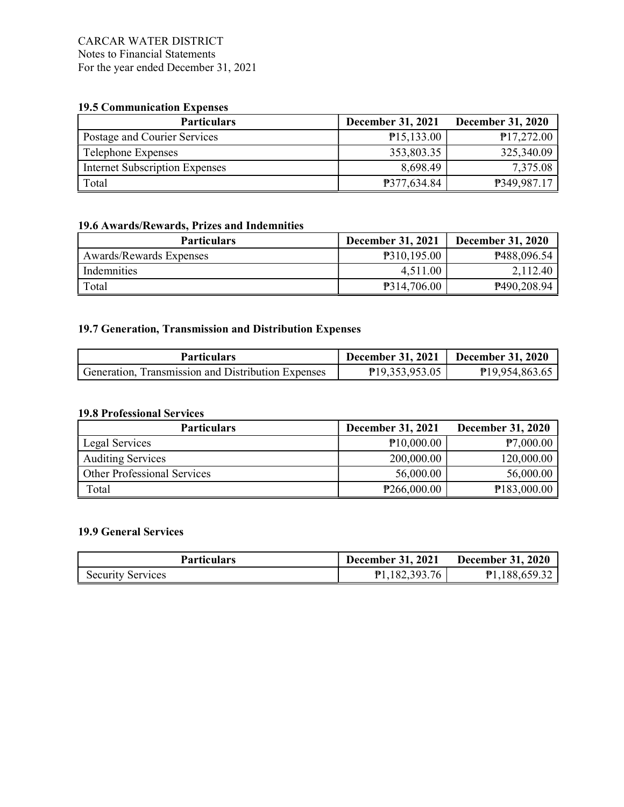### CARCAR WATER DISTRICT Notes to Financial Statements For the year ended December 31, 2021

## 19.5 Communication Expenses

| <b>Particulars</b>                    | <b>December 31, 2021</b> | <b>December 31, 2020</b> |
|---------------------------------------|--------------------------|--------------------------|
| Postage and Courier Services          | P15,133.00               | P17,272.00               |
| Telephone Expenses                    | 353,803.35               | 325,340.09               |
| <b>Internet Subscription Expenses</b> | 8,698.49                 | 7,375.08                 |
| Total                                 | P377,634.84              | P349,987.17              |

## 19.6 Awards/Rewards, Prizes and Indemnities

| <b>Particulars</b>      | <b>December 31, 2021</b> | <b>December 31, 2020</b> |
|-------------------------|--------------------------|--------------------------|
| Awards/Rewards Expenses | P310,195.00              | P488,096.54              |
| Indemnities             | 4,511.00                 | 2,112.40                 |
| Total                   | P314,706.00              | P490,208.94              |

## 19.7 Generation, Transmission and Distribution Expenses

| <b>Particulars</b>                                 | <b>December 31, 2021</b> | <b>December 31, 2020</b> |
|----------------------------------------------------|--------------------------|--------------------------|
| Generation, Transmission and Distribution Expenses | P19,353,953.05           | P19,954,863.65           |

#### 19.8 Professional Services

| <b>Particulars</b>          | <b>December 31, 2021</b> | <b>December 31, 2020</b> |
|-----------------------------|--------------------------|--------------------------|
| Legal Services              | P10,000.00               | P7,000.00                |
| <b>Auditing Services</b>    | 200,000.00               | 120,000.00               |
| Other Professional Services | 56,000.00                | 56,000.00                |
| Total                       | P266,000.00              | P183,000.00              |

### 19.9 General Services

| Particulars              | <b>December 31, 2021</b> | <b>December 31, 2020</b> |
|--------------------------|--------------------------|--------------------------|
| <b>Security Services</b> | P1,182,393.76            | P1,188,659.32            |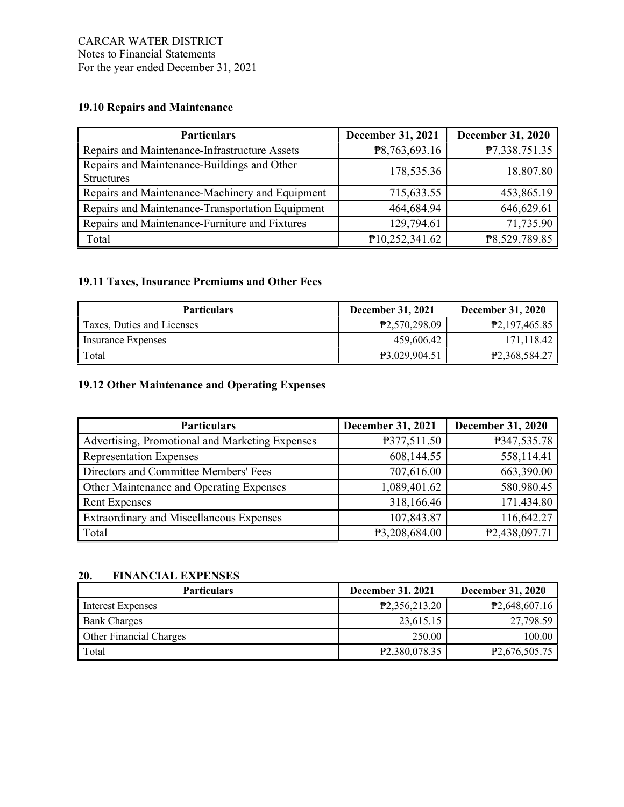## 19.10 Repairs and Maintenance

| <b>Particulars</b>                                               | <b>December 31, 2021</b> | <b>December 31, 2020</b> |
|------------------------------------------------------------------|--------------------------|--------------------------|
| Repairs and Maintenance-Infrastructure Assets                    | P8,763,693.16            | P7,338,751.35            |
| Repairs and Maintenance-Buildings and Other<br><b>Structures</b> | 178,535.36               | 18,807.80                |
| Repairs and Maintenance-Machinery and Equipment                  | 715,633.55               | 453,865.19               |
| Repairs and Maintenance-Transportation Equipment                 | 464,684.94               | 646,629.61               |
| Repairs and Maintenance-Furniture and Fixtures                   | 129,794.61               | 71,735.90                |
| Total                                                            | P10,252,341.62           | P8,529,789.85            |

## 19.11 Taxes, Insurance Premiums and Other Fees

| <b>Particulars</b>         | <b>December 31, 2021</b>   | <b>December 31, 2020</b>     |
|----------------------------|----------------------------|------------------------------|
| Taxes, Duties and Licenses | P <sub>2</sub> ,570,298.09 | P <sub>2</sub> , 197, 465.85 |
| Insurance Expenses         | 459,606.42                 | 171,118.42                   |
| Total                      | P3,029,904.51              | P <sub>2</sub> ,368,584.27   |

## 19.12 Other Maintenance and Operating Expenses

| <b>Particulars</b>                              | December 31, 2021 | <b>December 31, 2020</b> |
|-------------------------------------------------|-------------------|--------------------------|
| Advertising, Promotional and Marketing Expenses | P377,511.50       | P347,535.78              |
| <b>Representation Expenses</b>                  | 608,144.55        | 558,114.41               |
| Directors and Committee Members' Fees           | 707,616.00        | 663,390.00               |
| Other Maintenance and Operating Expenses        | 1,089,401.62      | 580,980.45               |
| <b>Rent Expenses</b>                            | 318,166.46        | 171,434.80               |
| Extraordinary and Miscellaneous Expenses        | 107,843.87        | 116,642.27               |
| Total                                           | P3,208,684.00     | P2,438,097.71            |

#### 20. FINANCIAL EXPENSES

| <b>Particulars</b>      | <b>December 31, 2021</b>   | <b>December 31, 2020</b> |
|-------------------------|----------------------------|--------------------------|
| Interest Expenses       | P2,356,213.20              | P2,648,607.16            |
| <b>Bank Charges</b>     | 23,615.15                  | 27,798.59                |
| Other Financial Charges | 250.00                     | 100.00                   |
| Total                   | P <sub>2</sub> ,380,078.35 | P2,676,505.75            |